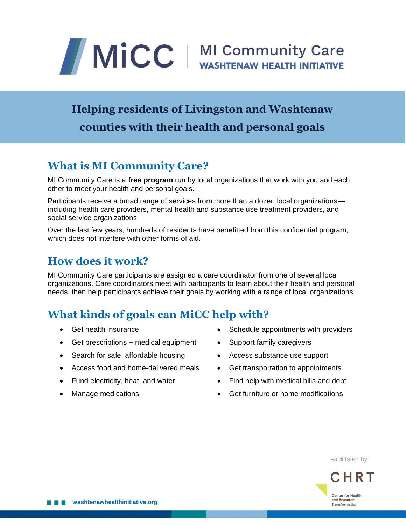

## **Helping residents of Livingston and Washtenaw counties with their health and personal goals**

## **What is MI Community Care?**

MI Community Care is a **free program** run by local organizations that work with you and each other to meet your health and personal goals.

Participants receive a broad range of services from more than a dozen local organizations including health care providers, mental health and substance use treatment providers, and social service organizations.

Over the last few years, hundreds of residents have benefitted from this confidential program, which does not interfere with other forms of aid.

## **How does it work?**

MI Community Care participants are assigned a care coordinator from one of several local organizations. Care coordinators meet with participants to learn about their health and personal needs, then help participants achieve their goals by working with a range of local organizations.

## **What kinds of goals can MiCC help with?**

- Get health insurance
- Get prescriptions + medical equipment
- Search for safe, affordable housing
- Access food and home-delivered meals
- Fund electricity, heat, and water
- Manage medications
- Schedule appointments with providers
- Support family caregivers
- Access substance use support
- Get transportation to appointments
- Find help with medical bills and debt
- Get furniture or home modifications

Facilitated by: